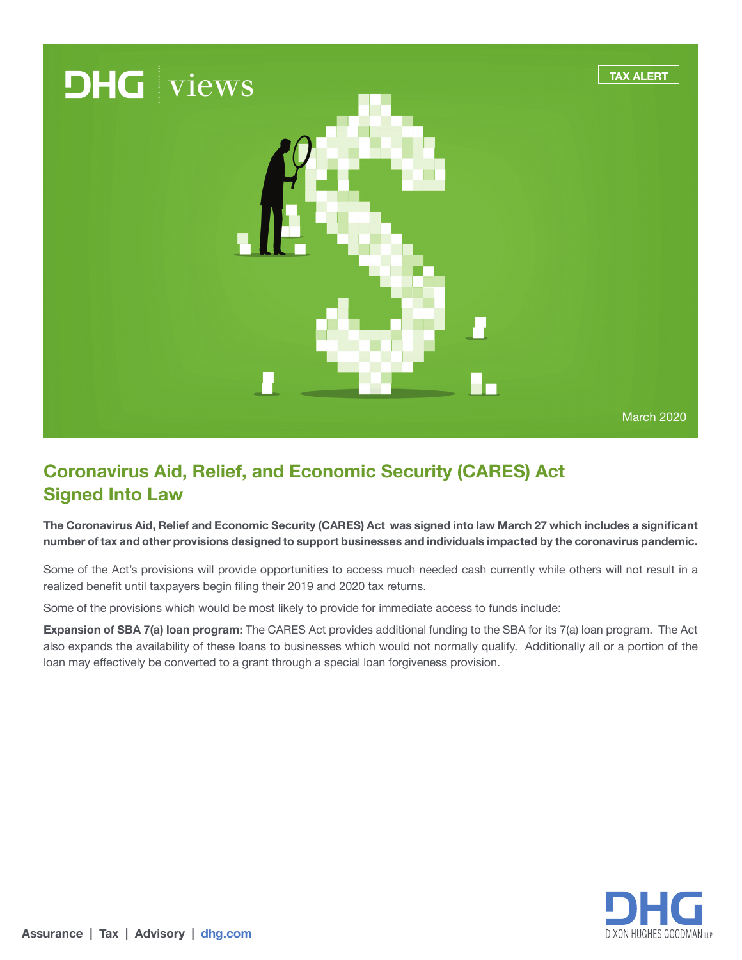

## **Coronavirus Aid, Relief, and Economic Security (CARES) Act Signed Into Law**

**The Coronavirus Aid, Relief and Economic Security (CARES) Act was signed into law March 27 which includes a significant number of tax and other provisions designed to support businesses and individuals impacted by the coronavirus pandemic.** 

Some of the Act's provisions will provide opportunities to access much needed cash currently while others will not result in a realized benefit until taxpayers begin filing their 2019 and 2020 tax returns.

Some of the provisions which would be most likely to provide for immediate access to funds include:

**Expansion of SBA 7(a) loan program:** The CARES Act provides additional funding to the SBA for its 7(a) loan program. The Act also expands the availability of these loans to businesses which would not normally qualify. Additionally all or a portion of the loan may effectively be converted to a grant through a special loan forgiveness provision.

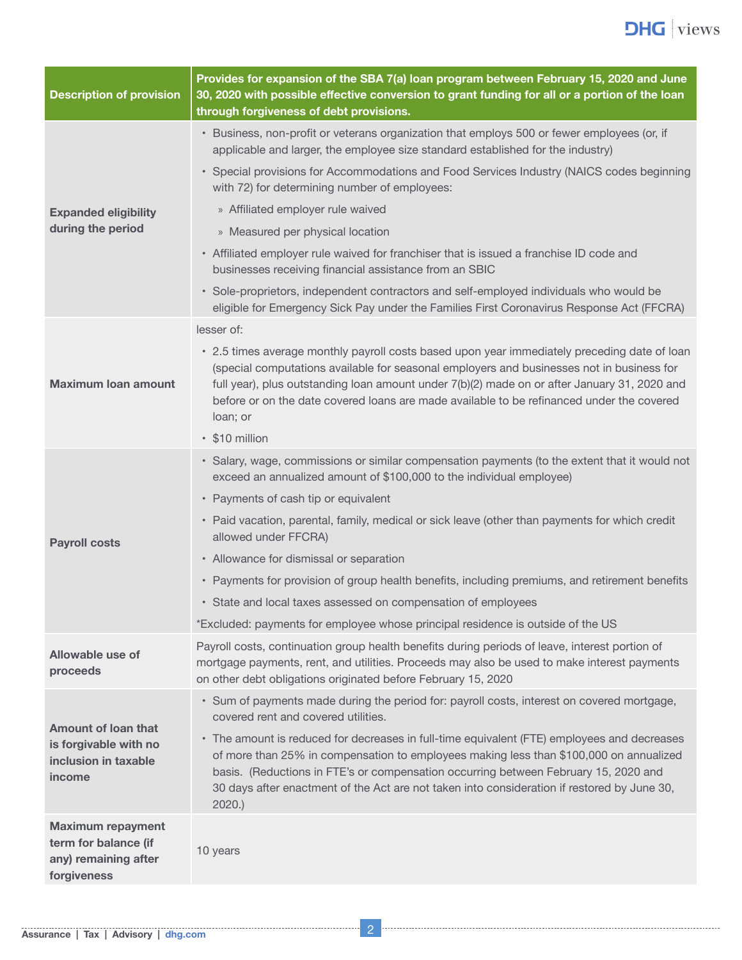

| <b>Description of provision</b>                                                         | Provides for expansion of the SBA 7(a) loan program between February 15, 2020 and June<br>30, 2020 with possible effective conversion to grant funding for all or a portion of the loan<br>through forgiveness of debt provisions.                                                                                                                                                                 |  |
|-----------------------------------------------------------------------------------------|----------------------------------------------------------------------------------------------------------------------------------------------------------------------------------------------------------------------------------------------------------------------------------------------------------------------------------------------------------------------------------------------------|--|
| <b>Expanded eligibility</b><br>during the period                                        | • Business, non-profit or veterans organization that employs 500 or fewer employees (or, if<br>applicable and larger, the employee size standard established for the industry)                                                                                                                                                                                                                     |  |
|                                                                                         | • Special provisions for Accommodations and Food Services Industry (NAICS codes beginning<br>with 72) for determining number of employees:                                                                                                                                                                                                                                                         |  |
|                                                                                         | » Affiliated employer rule waived                                                                                                                                                                                                                                                                                                                                                                  |  |
|                                                                                         | » Measured per physical location                                                                                                                                                                                                                                                                                                                                                                   |  |
|                                                                                         | • Affiliated employer rule waived for franchiser that is issued a franchise ID code and<br>businesses receiving financial assistance from an SBIC                                                                                                                                                                                                                                                  |  |
|                                                                                         | • Sole-proprietors, independent contractors and self-employed individuals who would be<br>eligible for Emergency Sick Pay under the Families First Coronavirus Response Act (FFCRA)                                                                                                                                                                                                                |  |
| <b>Maximum loan amount</b>                                                              | lesser of:                                                                                                                                                                                                                                                                                                                                                                                         |  |
|                                                                                         | • 2.5 times average monthly payroll costs based upon year immediately preceding date of loan<br>(special computations available for seasonal employers and businesses not in business for<br>full year), plus outstanding loan amount under 7(b)(2) made on or after January 31, 2020 and<br>before or on the date covered loans are made available to be refinanced under the covered<br>loan; or |  |
|                                                                                         | • \$10 million                                                                                                                                                                                                                                                                                                                                                                                     |  |
|                                                                                         | · Salary, wage, commissions or similar compensation payments (to the extent that it would not<br>exceed an annualized amount of \$100,000 to the individual employee)                                                                                                                                                                                                                              |  |
|                                                                                         | • Payments of cash tip or equivalent                                                                                                                                                                                                                                                                                                                                                               |  |
| <b>Payroll costs</b>                                                                    | • Paid vacation, parental, family, medical or sick leave (other than payments for which credit<br>allowed under FFCRA)                                                                                                                                                                                                                                                                             |  |
|                                                                                         | • Allowance for dismissal or separation                                                                                                                                                                                                                                                                                                                                                            |  |
|                                                                                         | • Payments for provision of group health benefits, including premiums, and retirement benefits                                                                                                                                                                                                                                                                                                     |  |
|                                                                                         | • State and local taxes assessed on compensation of employees                                                                                                                                                                                                                                                                                                                                      |  |
|                                                                                         | *Excluded: payments for employee whose principal residence is outside of the US                                                                                                                                                                                                                                                                                                                    |  |
| Allowable use of<br>proceeds                                                            | Payroll costs, continuation group health benefits during periods of leave, interest portion of<br>mortgage payments, rent, and utilities. Proceeds may also be used to make interest payments<br>on other debt obligations originated before February 15, 2020                                                                                                                                     |  |
| Amount of loan that<br>is forgivable with no<br>inclusion in taxable<br>income          | · Sum of payments made during the period for: payroll costs, interest on covered mortgage,<br>covered rent and covered utilities.                                                                                                                                                                                                                                                                  |  |
|                                                                                         | • The amount is reduced for decreases in full-time equivalent (FTE) employees and decreases<br>of more than 25% in compensation to employees making less than \$100,000 on annualized<br>basis. (Reductions in FTE's or compensation occurring between February 15, 2020 and<br>30 days after enactment of the Act are not taken into consideration if restored by June 30,<br>2020.               |  |
| <b>Maximum repayment</b><br>term for balance (if<br>any) remaining after<br>forgiveness | 10 years                                                                                                                                                                                                                                                                                                                                                                                           |  |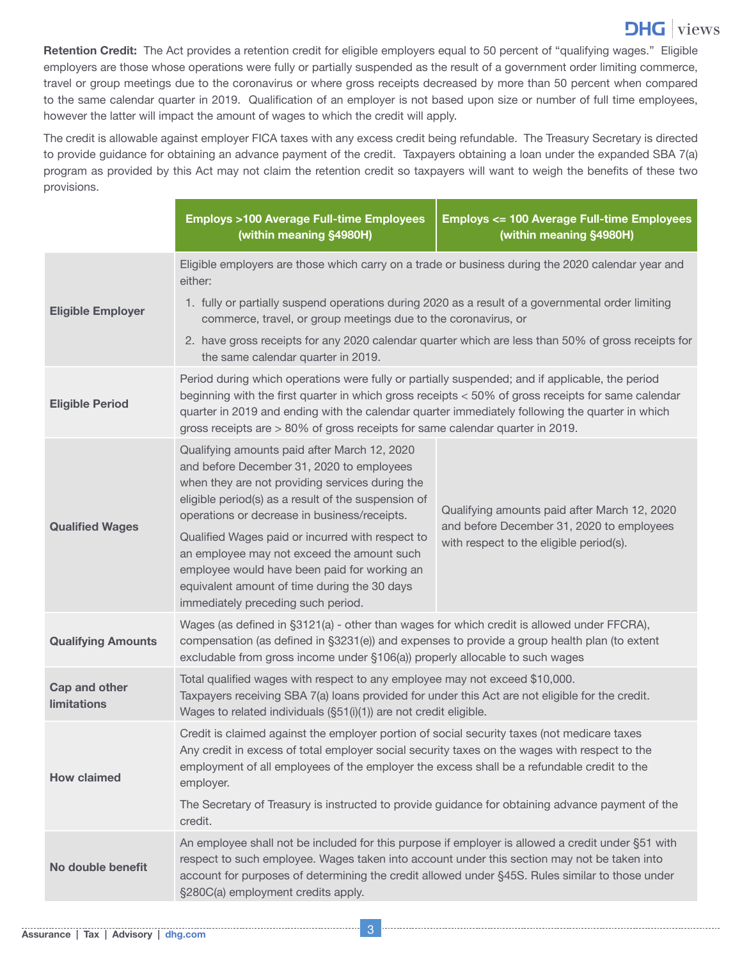## **DHG** views

**Retention Credit:** The Act provides a retention credit for eligible employers equal to 50 percent of "qualifying wages." Eligible employers are those whose operations were fully or partially suspended as the result of a government order limiting commerce, travel or group meetings due to the coronavirus or where gross receipts decreased by more than 50 percent when compared to the same calendar quarter in 2019. Qualification of an employer is not based upon size or number of full time employees, however the latter will impact the amount of wages to which the credit will apply.

The credit is allowable against employer FICA taxes with any excess credit being refundable. The Treasury Secretary is directed to provide guidance for obtaining an advance payment of the credit. Taxpayers obtaining a loan under the expanded SBA 7(a) program as provided by this Act may not claim the retention credit so taxpayers will want to weigh the benefits of these two provisions.

|                                     | <b>Employs &gt;100 Average Full-time Employees</b><br>(within meaning §4980H)                                                                                                                                                                                                                                                                                                                                                                                                               | <b>Employs &lt;= 100 Average Full-time Employees</b><br>(within meaning §4980H)                                                      |  |
|-------------------------------------|---------------------------------------------------------------------------------------------------------------------------------------------------------------------------------------------------------------------------------------------------------------------------------------------------------------------------------------------------------------------------------------------------------------------------------------------------------------------------------------------|--------------------------------------------------------------------------------------------------------------------------------------|--|
|                                     | Eligible employers are those which carry on a trade or business during the 2020 calendar year and<br>either:                                                                                                                                                                                                                                                                                                                                                                                |                                                                                                                                      |  |
| <b>Eligible Employer</b>            | 1. fully or partially suspend operations during 2020 as a result of a governmental order limiting<br>commerce, travel, or group meetings due to the coronavirus, or                                                                                                                                                                                                                                                                                                                         |                                                                                                                                      |  |
|                                     | 2. have gross receipts for any 2020 calendar quarter which are less than 50% of gross receipts for<br>the same calendar quarter in 2019.                                                                                                                                                                                                                                                                                                                                                    |                                                                                                                                      |  |
| <b>Eligible Period</b>              | Period during which operations were fully or partially suspended; and if applicable, the period<br>beginning with the first quarter in which gross receipts < 50% of gross receipts for same calendar<br>quarter in 2019 and ending with the calendar quarter immediately following the quarter in which<br>gross receipts are > 80% of gross receipts for same calendar quarter in 2019.                                                                                                   |                                                                                                                                      |  |
| <b>Qualified Wages</b>              | Qualifying amounts paid after March 12, 2020<br>and before December 31, 2020 to employees<br>when they are not providing services during the<br>eligible period(s) as a result of the suspension of<br>operations or decrease in business/receipts.<br>Qualified Wages paid or incurred with respect to<br>an employee may not exceed the amount such<br>employee would have been paid for working an<br>equivalent amount of time during the 30 days<br>immediately preceding such period. | Qualifying amounts paid after March 12, 2020<br>and before December 31, 2020 to employees<br>with respect to the eligible period(s). |  |
| <b>Qualifying Amounts</b>           | Wages (as defined in §3121(a) - other than wages for which credit is allowed under FFCRA),<br>compensation (as defined in §3231(e)) and expenses to provide a group health plan (to extent<br>excludable from gross income under §106(a)) properly allocable to such wages                                                                                                                                                                                                                  |                                                                                                                                      |  |
| Cap and other<br><b>limitations</b> | Total qualified wages with respect to any employee may not exceed \$10,000.<br>Taxpayers receiving SBA 7(a) loans provided for under this Act are not eligible for the credit.<br>Wages to related individuals (§51(i)(1)) are not credit eligible.                                                                                                                                                                                                                                         |                                                                                                                                      |  |
| <b>How claimed</b>                  | Credit is claimed against the employer portion of social security taxes (not medicare taxes<br>Any credit in excess of total employer social security taxes on the wages with respect to the<br>employment of all employees of the employer the excess shall be a refundable credit to the<br>employer.                                                                                                                                                                                     |                                                                                                                                      |  |
|                                     | The Secretary of Treasury is instructed to provide guidance for obtaining advance payment of the<br>credit.                                                                                                                                                                                                                                                                                                                                                                                 |                                                                                                                                      |  |
| No double benefit                   | An employee shall not be included for this purpose if employer is allowed a credit under §51 with<br>respect to such employee. Wages taken into account under this section may not be taken into<br>account for purposes of determining the credit allowed under §45S. Rules similar to those under<br>§280C(a) employment credits apply.                                                                                                                                                   |                                                                                                                                      |  |